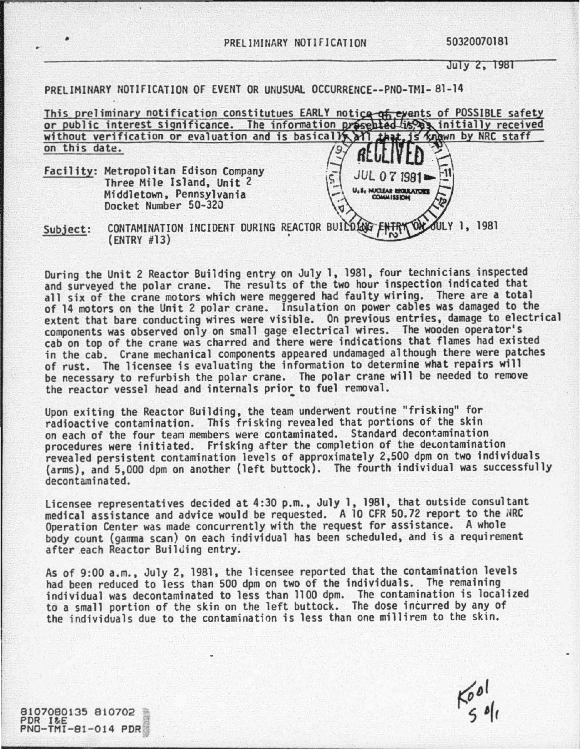July 2, 1981

PRELIMINARY NOTIFICATION OF EVENT OR UNUSUAL OCCURRENCE--PNO-TMI-81-14

|                                                                                                                        | This preliminary notification constitutues EARLY notice of events of POSSIBLE safety |
|------------------------------------------------------------------------------------------------------------------------|--------------------------------------------------------------------------------------|
|                                                                                                                        | or public interest significance. The information presented is a initially received   |
|                                                                                                                        | without verification or evaluation and is basically all that, is known by NRC staff  |
| on this date.                                                                                                          |                                                                                      |
| Facility: Metropolitan Edison Company<br>Three Mile Island, Unit 2<br>Middletown, Pennsylvania<br>Docket Number 50-320 | $JUL O 7 1981 = 11$<br>U.S. NUCLEAR BROUGHORS                                        |

Subject: CONTAMINATION INCIDENT DURING REACTOR BUILDING FUTRY ON JULY 1, 1981 (ENTRY #13)

During the Unit 2 Reactor Building entry on July 1, 1961, four technicians inspected and surveyed the polar crane. The results of the two hour inspection indicated that all six of the crane motors which were meggered had faulty wiring. There are a total of 14 motors on the Unit 2 polar crane. Insulation on power cables was damaged to the extent that bare conducting wires were visible. On previous entries, damage to electrical<br>components was observed only on small gage electrical wires. The wooden operator's cab on top of the crane was charred and there were indications that flames had existed<br>in the cab. Crane mechanical components appeared undamaged although there were patches of rust. The licensee is evaluating the information to determine what repairs will be necessary to refurbish the polar crane. The polar crane will be needed to remove the reactor vessel head and internals prior to fuel removal.

Upon exiting the Reactor Building, the team underwent routine "frisking" for radioactive contamination. This frisking revealed that portions of the skin on each of the four team members were contaminated. Standard decontamination procedures were initiated. Frisking after the completion of the decontamination revealed persistent contamination levels of approximately 2,500 dpm on two individuals (arms), and 5,000 dpm on another (left buttock). The fourth individual was successfully decontaminated.

Licensee representatives decided at 4:30 p.m., July 1, 1981, that outside consultant medical assistance and advice would be requested. A 10 CFR 50.72 report to the NRC Operation Center was made concurrently with the request for assistance. A whole body count (gamma scan) on each individual has been scheduled, and is a requirement<br>after each Reactor Building entry.

As of 9:00 a.m., July 2, 1981, the licensee reported that the contamination levels<br>had been reduced to less than 500 dpm on two of the individuals. The remaining individual was decontaminated to less than 1100 dpm. The contamination is localized to a small portion of the skin on the left buttock. The dose incurred by any of the individuals due to the contamination is less than one millirem to the skin.

 $K_{5}^{od}$ 

8107080135 810702 PDR I&E<br>PNO-TMI-81-014 PDR